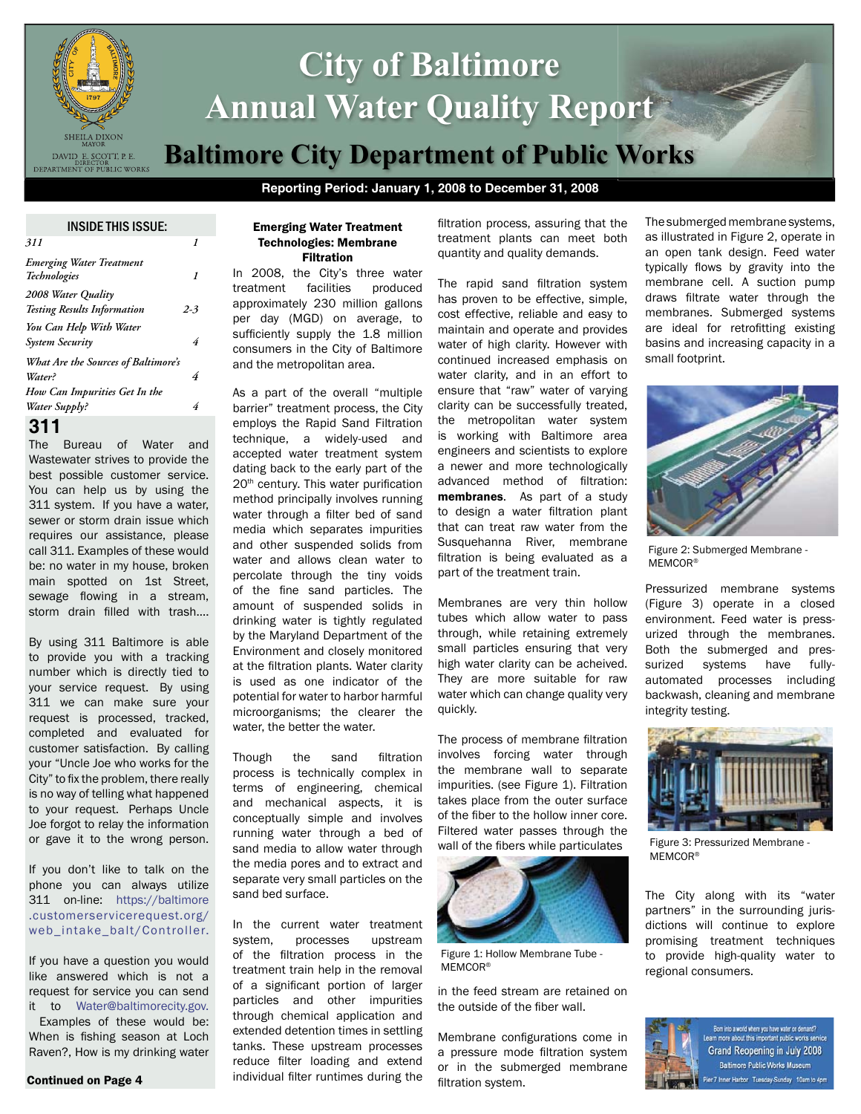

# **City of Baltimore Annual Water Quality Report Baltimore City Department of Public Works**

# **Reporting Period: January 1, 2008 to December 31, 2008**

INSIDE THIS ISSUE:

| 1                                          |
|--------------------------------------------|
|                                            |
|                                            |
| $2 - 3$                                    |
|                                            |
| 4                                          |
| <b>What Are the Sources of Baltimore's</b> |
| 4                                          |
|                                            |
| 4                                          |
|                                            |

# **311**

The Bureau of Water and Wastewater strives to provide the best possible customer service. You can help us by using the 311 system. If you have a water, sewer or storm drain issue which requires our assistance, please call 311. Examples of these would be: no water in my house, broken main spotted on 1st Street, sewage flowing in a stream, storm drain filled with trash....

By using 311 Baltimore is able to provide you with a tracking number which is directly tied to your service request. By using 311 we can make sure your request is processed, tracked, completed and evaluated for customer satisfaction. By calling your "Uncle Joe who works for the City" to fix the problem, there really is no way of telling what happened to your request. Perhaps Uncle Joe forgot to relay the information or gave it to the wrong person.

If you don't like to talk on the phone you can always utilize 311 on-line: https://baltimore .customerservicerequest.org/ web\_intake\_balt/Controller.

If you have a question you would like answered which is not a request for service you can send it to Water@baltimorecity.gov.

 Examples of these would be: When is fishing season at Loch Raven?, How is my drinking water

#### Continued on Page 4

#### Emerging Water Treatment Technologies: Membrane Filtration

In 2008, the City's three water treatment facilities produced approximately 230 million gallons per day (MGD) on average, to sufficiently supply the 1.8 million consumers in the City of Baltimore and the metropolitan area.

As a part of the overall "multiple barrier" treatment process, the City employs the Rapid Sand Filtration technique, a widely-used and accepted water treatment system dating back to the early part of the 20<sup>th</sup> century. This water purification method principally involves running water through a filter bed of sand media which separates impurities and other suspended solids from water and allows clean water to percolate through the tiny voids of the fine sand particles. The amount of suspended solids in drinking water is tightly regulated by the Maryland Department of the Environment and closely monitored at the filtration plants. Water clarity is used as one indicator of the potential for water to harbor harmful microorganisms; the clearer the water, the better the water.

Though the sand filtration process is technically complex in terms of engineering, chemical and mechanical aspects, it is conceptually simple and involves running water through a bed of sand media to allow water through the media pores and to extract and separate very small particles on the sand bed surface.

In the current water treatment system, processes upstream of the filtration process in the treatment train help in the removal of a significant portion of larger particles and other impurities through chemical application and extended detention times in settling tanks. These upstream processes reduce filter loading and extend individual filter runtimes during the filtration process, assuring that the treatment plants can meet both quantity and quality demands.

The rapid sand filtration system has proven to be effective, simple, cost effective, reliable and easy to maintain and operate and provides water of high clarity. However with continued increased emphasis on water clarity, and in an effort to ensure that "raw" water of varying clarity can be successfully treated, the metropolitan water system is working with Baltimore area engineers and scientists to explore a newer and more technologically advanced method of filtration: membranes. As part of a study to design a water filtration plant that can treat raw water from the Susquehanna River, membrane filtration is being evaluated as a part of the treatment train.

Membranes are very thin hollow tubes which allow water to pass through, while retaining extremely small particles ensuring that very high water clarity can be acheived. They are more suitable for raw water which can change quality very quickly.

The process of membrane filtration involves forcing water through the membrane wall to separate impurities. (see Figure 1). Filtration takes place from the outer surface of the fiber to the hollow inner core. Filtered water passes through the wall of the fibers while particulates



Figure 1: Hollow Membrane Tube - MEMCOR®

in the feed stream are retained on the outside of the fiber wall.

Membrane configurations come in a pressure mode filtration system or in the submerged membrane filtration system.

The submerged membrane systems, as illustrated in Figure 2, operate in an open tank design. Feed water typically flows by gravity into the membrane cell. A suction pump draws filtrate water through the membranes. Submerged systems are ideal for retrofitting existing basins and increasing capacity in a small footprint.



Figure 2: Submerged Membrane - MEMCOR<sup>®</sup>

Pressurized membrane systems (Figure 3) operate in a closed environment. Feed water is pressurized through the membranes. Both the submerged and pressurized systems have fullyautomated processes including backwash, cleaning and membrane integrity testing.



Figure 3: Pressurized Membrane - MEMCOR®

The City along with its "water partners" in the surrounding jurisdictions will continue to explore promising treatment techniques to provide high-quality water to regional consumers.



Born into a world where you have water on demand? earn more about this important public works service Grand Reopening in July 2008 **Baltimore Public Works Museum** Fier 7 Inner Harbor Tuesday-Sunday 10am to 4pm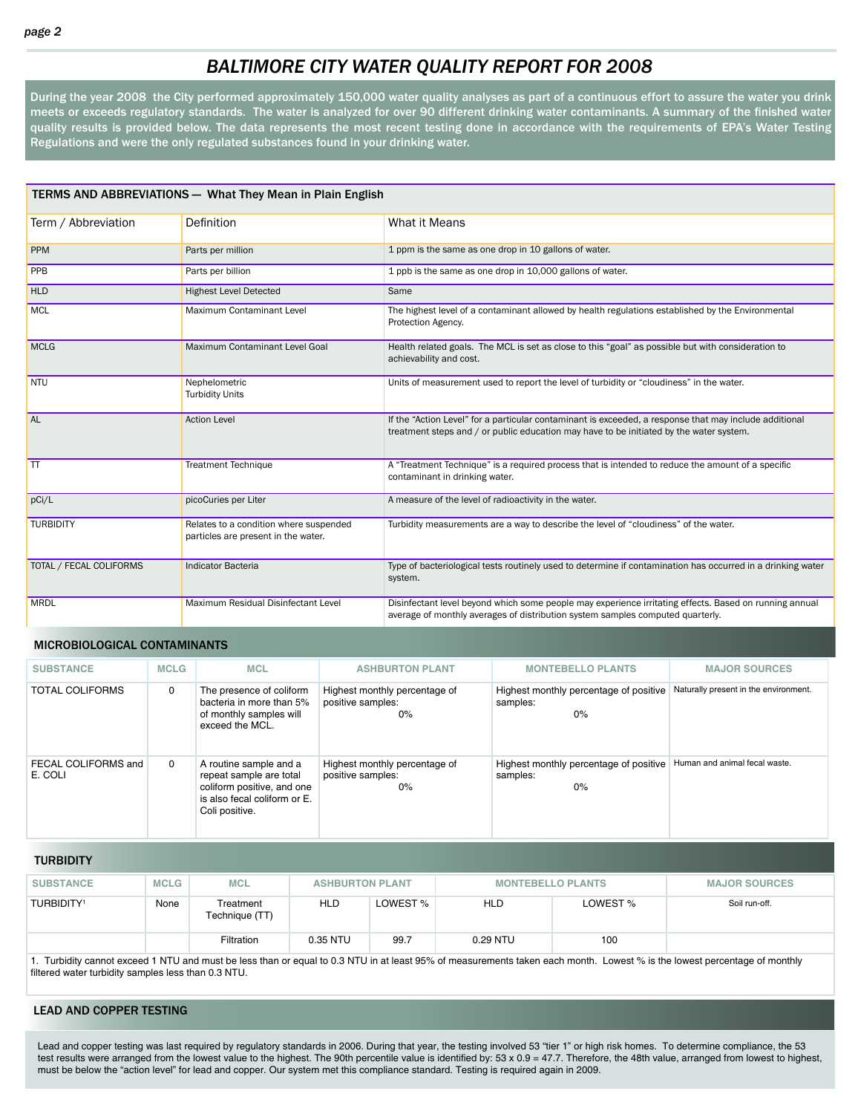# *BALTIMORE CITY WATER QUALITY REPORT FOR 2008*

During the year 2008 the City performed approximately 150,000 water quality analyses as part of a continuous effort to assure the water you drink meets or exceeds regulatory standards. The water is analyzed for over 90 different drinking water contaminants. A summary of the finished water quality results is provided below. The data represents the most recent testing done in accordance with the requirements of EPA's Water Testing Regulations and were the only regulated substances found in your drinking water.

| <b>TERMS AND ABBREVIATIONS - What They Mean in Plain English</b> |                                                                               |                                                                                                                                                                                                   |  |  |  |  |  |  |
|------------------------------------------------------------------|-------------------------------------------------------------------------------|---------------------------------------------------------------------------------------------------------------------------------------------------------------------------------------------------|--|--|--|--|--|--|
| Term / Abbreviation                                              | Definition                                                                    | What it Means                                                                                                                                                                                     |  |  |  |  |  |  |
| PPM                                                              | Parts per million                                                             | 1 ppm is the same as one drop in 10 gallons of water.                                                                                                                                             |  |  |  |  |  |  |
| PPB                                                              | Parts per billion                                                             | 1 ppb is the same as one drop in 10,000 gallons of water.                                                                                                                                         |  |  |  |  |  |  |
| <b>HLD</b>                                                       | <b>Highest Level Detected</b>                                                 | Same                                                                                                                                                                                              |  |  |  |  |  |  |
| <b>MCL</b>                                                       | Maximum Contaminant Level                                                     | The highest level of a contaminant allowed by health regulations established by the Environmental<br>Protection Agency.                                                                           |  |  |  |  |  |  |
| <b>MCLG</b>                                                      | Maximum Contaminant Level Goal                                                | Health related goals. The MCL is set as close to this "goal" as possible but with consideration to<br>achievability and cost.                                                                     |  |  |  |  |  |  |
| <b>NTU</b>                                                       | Nephelometric<br><b>Turbidity Units</b>                                       | Units of measurement used to report the level of turbidity or "cloudiness" in the water.                                                                                                          |  |  |  |  |  |  |
| <b>AL</b>                                                        | <b>Action Level</b>                                                           | If the "Action Level" for a particular contaminant is exceeded, a response that may include additional<br>treatment steps and / or public education may have to be initiated by the water system. |  |  |  |  |  |  |
| $\overline{\mathsf{T}}$                                          | <b>Treatment Technique</b>                                                    | A "Treatment Technique" is a required process that is intended to reduce the amount of a specific<br>contaminant in drinking water.                                                               |  |  |  |  |  |  |
| pCi/L                                                            | picoCuries per Liter                                                          | A measure of the level of radioactivity in the water.                                                                                                                                             |  |  |  |  |  |  |
| <b>TURBIDITY</b>                                                 | Relates to a condition where suspended<br>particles are present in the water. | Turbidity measurements are a way to describe the level of "cloudiness" of the water.                                                                                                              |  |  |  |  |  |  |
| TOTAL / FECAL COLIFORMS                                          | <b>Indicator Bacteria</b>                                                     | Type of bacteriological tests routinely used to determine if contamination has occurred in a drinking water<br>system.                                                                            |  |  |  |  |  |  |
| <b>MRDL</b>                                                      | Maximum Residual Disinfectant Level                                           | Disinfectant level beyond which some people may experience irritating effects. Based on running annual<br>average of monthly averages of distribution system samples computed quarterly.          |  |  |  |  |  |  |

#### MICROBIOLOGICAL CONTAMINANTS

| <b>SUBSTANCE</b>               | <b>MCLG</b> | <b>MCL</b>                                                                                                                        | <b>ASHBURTON PLANT</b>                                      | <b>MONTEBELLO PLANTS</b>                                 | <b>MAJOR SOURCES</b>                  |
|--------------------------------|-------------|-----------------------------------------------------------------------------------------------------------------------------------|-------------------------------------------------------------|----------------------------------------------------------|---------------------------------------|
| <b>TOTAL COLIFORMS</b>         | 0           | The presence of coliform<br>bacteria in more than 5%<br>of monthly samples will<br>exceed the MCL.                                | Highest monthly percentage of<br>positive samples:<br>$0\%$ | Highest monthly percentage of positive<br>samples:<br>0% | Naturally present in the environment. |
| FECAL COLIFORMS and<br>E. COLI | $\Omega$    | A routine sample and a<br>repeat sample are total<br>coliform positive, and one<br>is also fecal coliform or E.<br>Coli positive. | Highest monthly percentage of<br>positive samples:<br>$0\%$ | Highest monthly percentage of positive<br>samples:<br>0% | Human and animal fecal waste.         |

**TURBIDITY** 

| <b>SUBSTANCE</b>             | <b>MCLG</b> | <b>MCL</b>                  | <b>ASHBURTON PLANT</b> |          | <b>MONTEBELLO PLANTS</b> |          | <b>MAJOR SOURCES</b> |
|------------------------------|-------------|-----------------------------|------------------------|----------|--------------------------|----------|----------------------|
| <b>TURBIDITY<sup>1</sup></b> | None        | Treatment<br>Technique (TT) | <b>HLD</b>             | LOWEST % | <b>HLD</b>               | LOWEST % | Soil run-off.        |
|                              |             | Filtration                  | 0.35 NTU               | 99.7     | 0.29 NTU                 | 100      |                      |

1. Turbidity cannot exceed 1 NTU and must be less than or equal to 0.3 NTU in at least 95% of measurements taken each month. Lowest % is the lowest percentage of monthly filtered water turbidity samples less than 0.3 NTU.

#### LEAD AND COPPER TESTING

Lead and copper testing was last required by regulatory standards in 2006. During that year, the testing involved 53 "tier 1" or high risk homes. To determine compliance, the 53 test results were arranged from the lowest value to the highest. The 90th percentile value is identified by: 53 x 0.9 = 47.7. Therefore, the 48th value, arranged from lowest to highest, must be below the "action level" for lead and copper. Our system met this compliance standard. Testing is required again in 2009.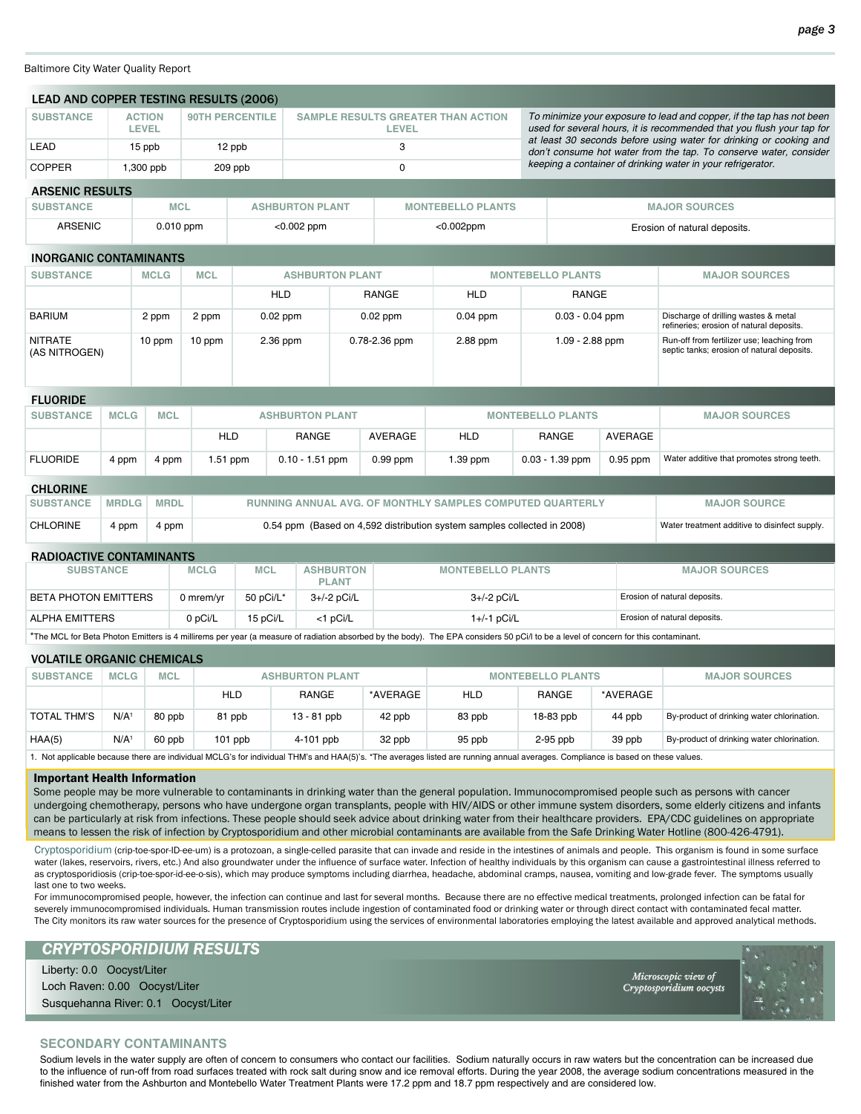Baltimore City Water Quality Report

| <b>LEAD AND COPPER TESTING RESULTS (2006)</b> |                      |                        |            |                                                                                  |                        |                           |                |                                                                         |                                                             |                                                                                                                                                |                                                                                          |                                               |  |
|-----------------------------------------------|----------------------|------------------------|------------|----------------------------------------------------------------------------------|------------------------|---------------------------|----------------|-------------------------------------------------------------------------|-------------------------------------------------------------|------------------------------------------------------------------------------------------------------------------------------------------------|------------------------------------------------------------------------------------------|-----------------------------------------------|--|
| <b>SUBSTANCE</b>                              |                      | <b>ACTION</b><br>LEVEL |            | <b>90TH PERCENTILE</b><br><b>SAMPLE RESULTS GREATER THAN ACTION</b><br>LEVEL     |                        |                           |                |                                                                         |                                                             | To minimize your exposure to lead and copper, if the tap has not been<br>used for several hours, it is recommended that you flush your tap for |                                                                                          |                                               |  |
| LEAD                                          | 15 ppb<br>12 ppb     |                        |            |                                                                                  | 3                      |                           |                |                                                                         |                                                             | at least 30 seconds before using water for drinking or cooking and<br>don't consume hot water from the tap. To conserve water, consider        |                                                                                          |                                               |  |
| <b>COPPER</b>                                 | 1,300 ppb<br>209 ppb |                        |            | $\Omega$                                                                         |                        |                           |                |                                                                         | keeping a container of drinking water in your refrigerator. |                                                                                                                                                |                                                                                          |                                               |  |
| <b>ARSENIC RESULTS</b>                        |                      |                        |            |                                                                                  |                        |                           |                |                                                                         |                                                             |                                                                                                                                                |                                                                                          |                                               |  |
| <b>SUBSTANCE</b>                              |                      | <b>MCL</b>             |            |                                                                                  | <b>ASHBURTON PLANT</b> |                           |                | <b>MONTEBELLO PLANTS</b>                                                |                                                             |                                                                                                                                                |                                                                                          | <b>MAJOR SOURCES</b>                          |  |
| <b>ARSENIC</b>                                |                      | $0.010$ ppm            |            |                                                                                  | $< 0.002$ ppm          |                           |                | $<$ 0.002ppm                                                            |                                                             | Erosion of natural deposits.                                                                                                                   |                                                                                          |                                               |  |
| <b>INORGANIC CONTAMINANTS</b>                 |                      |                        |            |                                                                                  |                        |                           |                |                                                                         |                                                             |                                                                                                                                                |                                                                                          |                                               |  |
| <b>SUBSTANCE</b>                              |                      | <b>MCLG</b>            | <b>MCL</b> |                                                                                  | <b>ASHBURTON PLANT</b> |                           |                |                                                                         |                                                             | <b>MONTEBELLO PLANTS</b>                                                                                                                       |                                                                                          | <b>MAJOR SOURCES</b>                          |  |
|                                               |                      |                        |            |                                                                                  | <b>HLD</b>             | <b>RANGE</b>              |                | <b>HLD</b>                                                              |                                                             | <b>RANGE</b>                                                                                                                                   |                                                                                          |                                               |  |
| <b>BARIUM</b>                                 |                      | 2 ppm                  | 2 ppm      | $0.02$ ppm                                                                       |                        | $0.02$ ppm                | $0.04$ ppm     |                                                                         | $0.03 - 0.04$ ppm                                           |                                                                                                                                                | Discharge of drilling wastes & metal<br>refineries; erosion of natural deposits.         |                                               |  |
| <b>NITRATE</b><br>(AS NITROGEN)               |                      | 10 ppm                 | 10 ppm     |                                                                                  | 2.36 ppm               | 0.78-2.36 ppm<br>2.88 ppm |                |                                                                         | $1.09 - 2.88$ ppm                                           |                                                                                                                                                | Run-off from fertilizer use; leaching from<br>septic tanks; erosion of natural deposits. |                                               |  |
| <b>FLUORIDE</b>                               |                      |                        |            |                                                                                  |                        |                           |                |                                                                         |                                                             |                                                                                                                                                |                                                                                          |                                               |  |
| <b>SUBSTANCE</b>                              | <b>MCLG</b>          | <b>MCL</b>             |            |                                                                                  | <b>ASHBURTON PLANT</b> |                           |                |                                                                         |                                                             | <b>MONTEBELLO PLANTS</b>                                                                                                                       |                                                                                          | <b>MAJOR SOURCES</b>                          |  |
|                                               |                      |                        | <b>HLD</b> |                                                                                  | <b>RANGE</b>           |                           | <b>AVERAGE</b> | <b>HLD</b>                                                              |                                                             | <b>RANGE</b>                                                                                                                                   | <b>AVERAGE</b>                                                                           |                                               |  |
| <b>FLUORIDE</b>                               | 4 ppm                | 4 ppm                  | 1.51 ppm   |                                                                                  | $0.10 - 1.51$ ppm      |                           | $0.99$ ppm     | 1.39 ppm                                                                |                                                             | $0.03 - 1.39$ ppm                                                                                                                              | 0.95 ppm                                                                                 | Water additive that promotes strong teeth.    |  |
| <b>CHLORINE</b>                               |                      |                        |            |                                                                                  |                        |                           |                |                                                                         |                                                             |                                                                                                                                                |                                                                                          |                                               |  |
| <b>SUBSTANCE</b>                              | <b>MRDLG</b>         | <b>MRDL</b>            |            | RUNNING ANNUAL AVG. OF MONTHLY SAMPLES COMPUTED QUARTERLY<br><b>MAJOR SOURCE</b> |                        |                           |                |                                                                         |                                                             |                                                                                                                                                |                                                                                          |                                               |  |
| <b>CHLORINE</b>                               | 4 ppm                | 4 ppm                  |            |                                                                                  |                        |                           |                | 0.54 ppm (Based on 4,592 distribution system samples collected in 2008) |                                                             |                                                                                                                                                |                                                                                          | Water treatment additive to disinfect supply. |  |
| <b>RADIOACTIVE CONTAMINANTS</b>               |                      |                        |            |                                                                                  |                        |                           |                |                                                                         |                                                             |                                                                                                                                                |                                                                                          |                                               |  |

| <b>SUBSTANCE</b>     | <b>MCLG</b> | <b>MCL</b> | <b>ASHBURTON</b><br><b>PLANT</b> | <b>MONTEBELLO PLANTS</b> | <b>MAJOR SOURCES</b>         |
|----------------------|-------------|------------|----------------------------------|--------------------------|------------------------------|
| BETA PHOTON EMITTERS | 0 mrem/vr   | 50 pCi/L*  | 3+/-2 pCi/L                      | 3+/-2 pCi/L              | Erosion of natural deposits. |
| ALPHA EMITTERS       | 0 pCi/L     | 15 pCi/L   | <1 pCi/L                         | $1+/-1$ pCi/L            | Erosion of natural deposits. |

\*The MCL for Beta Photon Emitters is 4 millirems per year (a measure of radiation absorbed by the body). The EPA considers 50 pCi/l to be a level of concern for this contaminant.

#### VOLATILE ORGANIC CHEMICALS

| TULATILL URUANIU UHLITIUALU |             |            |                        |               |          |            |                          |                      |                                            |  |  |
|-----------------------------|-------------|------------|------------------------|---------------|----------|------------|--------------------------|----------------------|--------------------------------------------|--|--|
| <b>SUBSTANCE</b>            | <b>MCLG</b> | <b>MCL</b> | <b>ASHBURTON PLANT</b> |               |          |            | <b>MONTEBELLO PLANTS</b> | <b>MAJOR SOURCES</b> |                                            |  |  |
|                             |             |            | <b>HLD</b>             | RANGE         | *AVERAGE | <b>HLD</b> | RANGE                    | *AVERAGE             |                                            |  |  |
| TOTAL THM'S                 | N/A         | 80 ppb     | 81 ppb                 | $13 - 81$ ppb | 42 ppb   | 83 ppb     | 18-83 ppb                | 44 ppb               | By-product of drinking water chlorination. |  |  |
| HAA(5)                      | N/A         | 60 ppb     | $101$ ppb              | $4-101$ ppb   | 32 ppb   | 95 ppb     | $2-95$ ppb               | 39 ppb               | By-product of drinking water chlorination. |  |  |
|                             |             |            |                        |               |          |            |                          |                      |                                            |  |  |

1. Not applicable because there are individual MCLG's for individual THM's and HAA(5)'s. \*The averages listed are running annual averages. Compliance is based on these values.

#### Important Health Information

Some people may be more vulnerable to contaminants in drinking water than the general population. Immunocompromised people such as persons with cancer undergoing chemotherapy, persons who have undergone organ transplants, people with HIV/AIDS or other immune system disorders, some elderly citizens and infants can be particularly at risk from infections. These people should seek advice about drinking water from their healthcare providers. EPA/CDC guidelines on appropriate means to lessen the risk of infection by Cryptosporidium and other microbial contaminants are available from the Safe Drinking Water Hotline (800-426-4791).

Cryptosporidium (crip-toe-spor-ID-ee-um) is a protozoan, a single-celled parasite that can invade and reside in the intestines of animals and people. This organism is found in some surface water (lakes, reservoirs, rivers, etc.) And also groundwater under the influence of surface water. Infection of healthy individuals by this organism can cause a gastrointestinal illness referred to as cryptosporidiosis (crip-toe-spor-id-ee-o-sis), which may produce symptoms including diarrhea, headache, abdominal cramps, nausea, vomiting and low-grade fever. The symptoms usually last one to two weeks.

For immunocompromised people, however, the infection can continue and last for several months. Because there are no effective medical treatments, prolonged infection can be fatal for severely immunocompromised individuals. Human transmission routes include ingestion of contaminated food or drinking water or through direct contact with contaminated fecal matter. The City monitors its raw water sources for the presence of Cryptosporidium using the services of environmental laboratories employing the latest available and approved analytical methods.

### *CRYPTOSPORIDIUM RESULTS*

Liberty: 0.0 Oocyst/Liter Loch Raven: 0.00 Oocyst/Liter Susquehanna River: 0.1 Oocyst/Liter

iew of opu:<br>ridii



## **SECONDARY CONTAMINANTS**

Sodium levels in the water supply are often of concern to consumers who contact our facilities. Sodium naturally occurs in raw waters but the concentration can be increased due to the influence of run-off from road surfaces treated with rock salt during snow and ice removal efforts. During the year 2008, the average sodium concentrations measured in the finished water from the Ashburton and Montebello Water Treatment Plants were 17.2 ppm and 18.7 ppm respectively and are considered low.